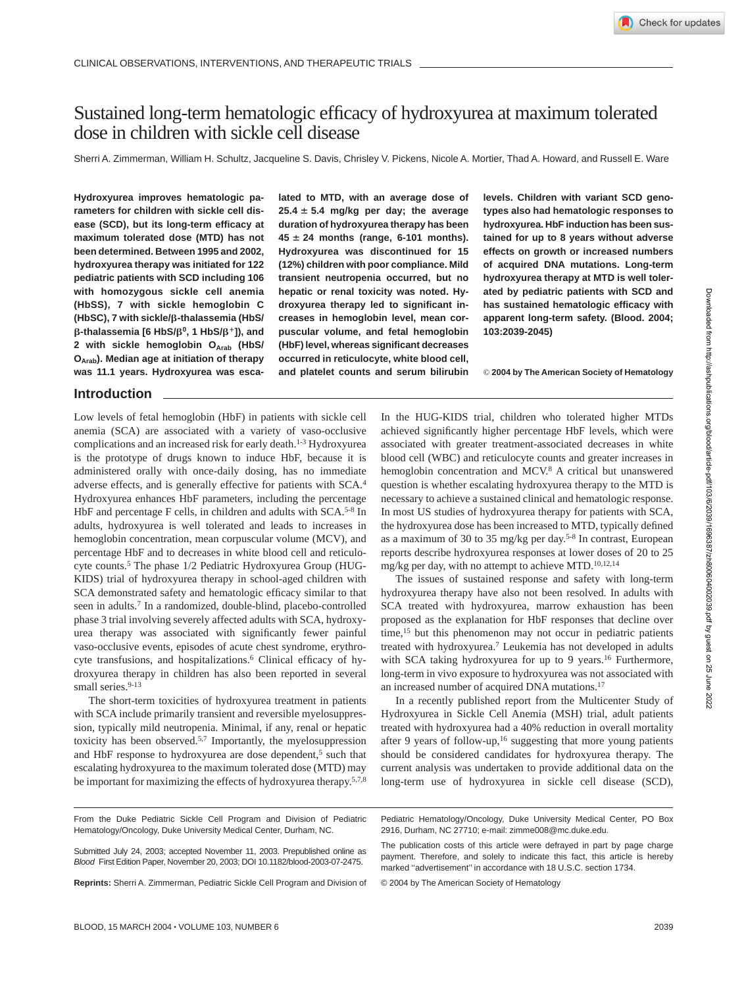# Sustained long-term hematologic efficacy of hydroxyurea at maximum tolerated dose in children with sickle cell disease

Sherri A. Zimmerman, William H. Schultz, Jacqueline S. Davis, Chrisley V. Pickens, Nicole A. Mortier, Thad A. Howard, and Russell E. Ware

**Hydroxyurea improves hematologic parameters for children with sickle cell disease (SCD), but its long-term efficacy at maximum tolerated dose (MTD) has not been determined. Between 1995 and 2002, hydroxyurea therapy was initiated for 122 pediatric patients with SCD including 106 with homozygous sickle cell anemia (HbSS), 7 with sickle hemoglobin C (HbSC), 7 with sickle/-thalassemia (HbS/**  $\beta$ -thalassemia [6 HbS/β<sup>0</sup>, 1 HbS/β<sup>+</sup>]), and 2 with sickle hemoglobin O<sub>Arab</sub> (HbS/ **OArab). Median age at initiation of therapy was 11.1 years. Hydroxyurea was esca-**

**lated to MTD, with an average dose of**  $25.4 \pm 5.4$  mg/kg per day; the average **duration of hydroxyurea therapy has been**  $45 \pm 24$  months (range, 6-101 months). **Hydroxyurea was discontinued for 15 (12%) children with poor compliance. Mild transient neutropenia occurred, but no hepatic or renal toxicity was noted. Hydroxyurea therapy led to significant increases in hemoglobin level, mean corpuscular volume, and fetal hemoglobin (HbF) level, whereas significant decreases occurred in reticulocyte, white blood cell, and platelet counts and serum bilirubin**

**levels. Children with variant SCD genotypes also had hematologic responses to hydroxyurea. HbF induction has been sustained for up to 8 years without adverse effects on growth or increased numbers of acquired DNA mutations. Long-term hydroxyurea therapy at MTD is well tolerated by pediatric patients with SCD and has sustained hematologic efficacy with apparent long-term safety. (Blood. 2004; 103:2039-2045)**

© **2004 by The American Society of Hematology**

# **Introduction**

Low levels of fetal hemoglobin (HbF) in patients with sickle cell anemia (SCA) are associated with a variety of vaso-occlusive complications and an increased risk for early death.<sup>1-3</sup> Hydroxyurea is the prototype of drugs known to induce HbF, because it is administered orally with once-daily dosing, has no immediate adverse effects, and is generally effective for patients with SCA.4 Hydroxyurea enhances HbF parameters, including the percentage HbF and percentage F cells, in children and adults with SCA.<sup>5-8</sup> In adults, hydroxyurea is well tolerated and leads to increases in hemoglobin concentration, mean corpuscular volume (MCV), and percentage HbF and to decreases in white blood cell and reticulocyte counts.<sup>5</sup> The phase 1/2 Pediatric Hydroxyurea Group (HUG-KIDS) trial of hydroxyurea therapy in school-aged children with SCA demonstrated safety and hematologic efficacy similar to that seen in adults.7 In a randomized, double-blind, placebo-controlled phase 3 trial involving severely affected adults with SCA, hydroxyurea therapy was associated with significantly fewer painful vaso-occlusive events, episodes of acute chest syndrome, erythrocyte transfusions, and hospitalizations.6 Clinical efficacy of hydroxyurea therapy in children has also been reported in several small series.<sup>9-13</sup>

The short-term toxicities of hydroxyurea treatment in patients with SCA include primarily transient and reversible myelosuppression, typically mild neutropenia. Minimal, if any, renal or hepatic toxicity has been observed.5,7 Importantly, the myelosuppression and HbF response to hydroxyurea are dose dependent,<sup>5</sup> such that escalating hydroxyurea to the maximum tolerated dose (MTD) may be important for maximizing the effects of hydroxyurea therapy.<sup>5,7,8</sup> In the HUG-KIDS trial, children who tolerated higher MTDs achieved significantly higher percentage HbF levels, which were associated with greater treatment-associated decreases in white blood cell (WBC) and reticulocyte counts and greater increases in hemoglobin concentration and MCV.<sup>8</sup> A critical but unanswered question is whether escalating hydroxyurea therapy to the MTD is necessary to achieve a sustained clinical and hematologic response. In most US studies of hydroxyurea therapy for patients with SCA, the hydroxyurea dose has been increased to MTD, typically defined as a maximum of 30 to 35 mg/kg per day.5-8 In contrast, European reports describe hydroxyurea responses at lower doses of 20 to 25 mg/kg per day, with no attempt to achieve MTD.10,12,14

The issues of sustained response and safety with long-term hydroxyurea therapy have also not been resolved. In adults with SCA treated with hydroxyurea, marrow exhaustion has been proposed as the explanation for HbF responses that decline over time,<sup>15</sup> but this phenomenon may not occur in pediatric patients treated with hydroxyurea.7 Leukemia has not developed in adults with SCA taking hydroxyurea for up to 9 years.<sup>16</sup> Furthermore, long-term in vivo exposure to hydroxyurea was not associated with an increased number of acquired DNA mutations.17

In a recently published report from the Multicenter Study of Hydroxyurea in Sickle Cell Anemia (MSH) trial, adult patients treated with hydroxyurea had a 40% reduction in overall mortality after 9 years of follow-up,<sup>16</sup> suggesting that more young patients should be considered candidates for hydroxyurea therapy. The current analysis was undertaken to provide additional data on the long-term use of hydroxyurea in sickle cell disease (SCD),

**Reprints:** Sherri A. Zimmerman, Pediatric Sickle Cell Program and Division of

Pediatric Hematology/Oncology, Duke University Medical Center, PO Box 2916, Durham, NC 27710; e-mail: zimme008@mc.duke.edu.

The publication costs of this article were defrayed in part by page charge payment. Therefore, and solely to indicate this fact, this article is hereby marked "advertisement" in accordance with 18 U.S.C. section 1734.

© 2004 by The American Society of Hematology

From the Duke Pediatric Sickle Cell Program and Division of Pediatric Hematology/Oncology, Duke University Medical Center, Durham, NC.

Submitted July 24, 2003; accepted November 11, 2003. Prepublished online as Blood First Edition Paper, November 20, 2003; DOI 10.1182/blood-2003-07-2475.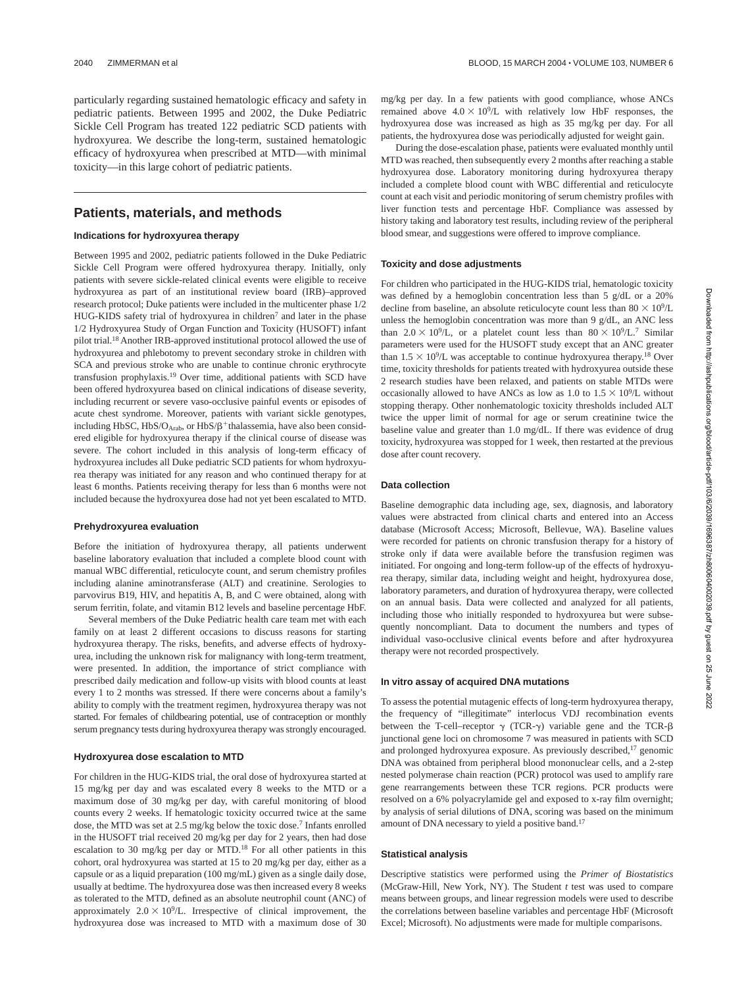particularly regarding sustained hematologic efficacy and safety in pediatric patients. Between 1995 and 2002, the Duke Pediatric Sickle Cell Program has treated 122 pediatric SCD patients with hydroxyurea. We describe the long-term, sustained hematologic efficacy of hydroxyurea when prescribed at MTD—with minimal toxicity—in this large cohort of pediatric patients.

# **Patients, materials, and methods**

### **Indications for hydroxyurea therapy**

Between 1995 and 2002, pediatric patients followed in the Duke Pediatric Sickle Cell Program were offered hydroxyurea therapy. Initially, only patients with severe sickle-related clinical events were eligible to receive hydroxyurea as part of an institutional review board (IRB)–approved research protocol; Duke patients were included in the multicenter phase 1/2 HUG-KIDS safety trial of hydroxyurea in children<sup>7</sup> and later in the phase 1/2 Hydroxyurea Study of Organ Function and Toxicity (HUSOFT) infant pilot trial.18 Another IRB-approved institutional protocol allowed the use of hydroxyurea and phlebotomy to prevent secondary stroke in children with SCA and previous stroke who are unable to continue chronic erythrocyte transfusion prophylaxis.19 Over time, additional patients with SCD have been offered hydroxyurea based on clinical indications of disease severity, including recurrent or severe vaso-occlusive painful events or episodes of acute chest syndrome. Moreover, patients with variant sickle genotypes, including HbSC, HbS/O<sub>Arab</sub>, or HbS/ $\beta$ <sup>+</sup>thalassemia, have also been considered eligible for hydroxyurea therapy if the clinical course of disease was severe. The cohort included in this analysis of long-term efficacy of hydroxyurea includes all Duke pediatric SCD patients for whom hydroxyurea therapy was initiated for any reason and who continued therapy for at least 6 months. Patients receiving therapy for less than 6 months were not included because the hydroxyurea dose had not yet been escalated to MTD.

### **Prehydroxyurea evaluation**

Before the initiation of hydroxyurea therapy, all patients underwent baseline laboratory evaluation that included a complete blood count with manual WBC differential, reticulocyte count, and serum chemistry profiles including alanine aminotransferase (ALT) and creatinine. Serologies to parvovirus B19, HIV, and hepatitis A, B, and C were obtained, along with serum ferritin, folate, and vitamin B12 levels and baseline percentage HbF.

Several members of the Duke Pediatric health care team met with each family on at least 2 different occasions to discuss reasons for starting hydroxyurea therapy. The risks, benefits, and adverse effects of hydroxyurea, including the unknown risk for malignancy with long-term treatment, were presented. In addition, the importance of strict compliance with prescribed daily medication and follow-up visits with blood counts at least every 1 to 2 months was stressed. If there were concerns about a family's ability to comply with the treatment regimen, hydroxyurea therapy was not started. For females of childbearing potential, use of contraception or monthly serum pregnancy tests during hydroxyurea therapy was strongly encouraged.

### **Hydroxyurea dose escalation to MTD**

For children in the HUG-KIDS trial, the oral dose of hydroxyurea started at 15 mg/kg per day and was escalated every 8 weeks to the MTD or a maximum dose of 30 mg/kg per day, with careful monitoring of blood counts every 2 weeks. If hematologic toxicity occurred twice at the same dose, the MTD was set at 2.5 mg/kg below the toxic dose.7 Infants enrolled in the HUSOFT trial received 20 mg/kg per day for 2 years, then had dose escalation to 30 mg/kg per day or MTD.18 For all other patients in this cohort, oral hydroxyurea was started at 15 to 20 mg/kg per day, either as a capsule or as a liquid preparation (100 mg/mL) given as a single daily dose, usually at bedtime. The hydroxyurea dose was then increased every 8 weeks as tolerated to the MTD, defined as an absolute neutrophil count (ANC) of approximately  $2.0 \times 10^9$ /L. Irrespective of clinical improvement, the hydroxyurea dose was increased to MTD with a maximum dose of 30

mg/kg per day. In a few patients with good compliance, whose ANCs remained above  $4.0 \times 10^9$ /L with relatively low HbF responses, the hydroxyurea dose was increased as high as 35 mg/kg per day. For all patients, the hydroxyurea dose was periodically adjusted for weight gain.

During the dose-escalation phase, patients were evaluated monthly until MTD was reached, then subsequently every 2 months after reaching a stable hydroxyurea dose. Laboratory monitoring during hydroxyurea therapy included a complete blood count with WBC differential and reticulocyte count at each visit and periodic monitoring of serum chemistry profiles with liver function tests and percentage HbF. Compliance was assessed by history taking and laboratory test results, including review of the peripheral blood smear, and suggestions were offered to improve compliance.

### **Toxicity and dose adjustments**

For children who participated in the HUG-KIDS trial, hematologic toxicity was defined by a hemoglobin concentration less than 5 g/dL or a 20% decline from baseline, an absolute reticulocyte count less than  $80 \times 10^9$ /L unless the hemoglobin concentration was more than 9 g/dL, an ANC less than  $2.0 \times 10^9$ /L, or a platelet count less than  $80 \times 10^9$ /L.<sup>7</sup> Similar parameters were used for the HUSOFT study except that an ANC greater than  $1.5 \times 10^9$ /L was acceptable to continue hydroxyurea therapy.<sup>18</sup> Over time, toxicity thresholds for patients treated with hydroxyurea outside these 2 research studies have been relaxed, and patients on stable MTDs were occasionally allowed to have ANCs as low as 1.0 to  $1.5 \times 10^9$ /L without stopping therapy. Other nonhematologic toxicity thresholds included ALT twice the upper limit of normal for age or serum creatinine twice the baseline value and greater than 1.0 mg/dL. If there was evidence of drug toxicity, hydroxyurea was stopped for 1 week, then restarted at the previous dose after count recovery.

### **Data collection**

Baseline demographic data including age, sex, diagnosis, and laboratory values were abstracted from clinical charts and entered into an Access database (Microsoft Access; Microsoft, Bellevue, WA). Baseline values were recorded for patients on chronic transfusion therapy for a history of stroke only if data were available before the transfusion regimen was initiated. For ongoing and long-term follow-up of the effects of hydroxyurea therapy, similar data, including weight and height, hydroxyurea dose, laboratory parameters, and duration of hydroxyurea therapy, were collected on an annual basis. Data were collected and analyzed for all patients, including those who initially responded to hydroxyurea but were subsequently noncompliant. Data to document the numbers and types of individual vaso-occlusive clinical events before and after hydroxyurea therapy were not recorded prospectively.

#### **In vitro assay of acquired DNA mutations**

To assess the potential mutagenic effects of long-term hydroxyurea therapy, the frequency of "illegitimate" interlocus VDJ recombination events between the T-cell–receptor  $\gamma$  (TCR- $\gamma$ ) variable gene and the TCR- $\beta$ junctional gene loci on chromosome 7 was measured in patients with SCD and prolonged hydroxyurea exposure. As previously described, $17$  genomic DNA was obtained from peripheral blood mononuclear cells, and a 2-step nested polymerase chain reaction (PCR) protocol was used to amplify rare gene rearrangements between these TCR regions. PCR products were resolved on a 6% polyacrylamide gel and exposed to x-ray film overnight; by analysis of serial dilutions of DNA, scoring was based on the minimum amount of DNA necessary to yield a positive band.17

### **Statistical analysis**

Descriptive statistics were performed using the *Primer of Biostatistics* (McGraw-Hill, New York, NY). The Student *t* test was used to compare means between groups, and linear regression models were used to describe the correlations between baseline variables and percentage HbF (Microsoft Excel; Microsoft). No adjustments were made for multiple comparisons.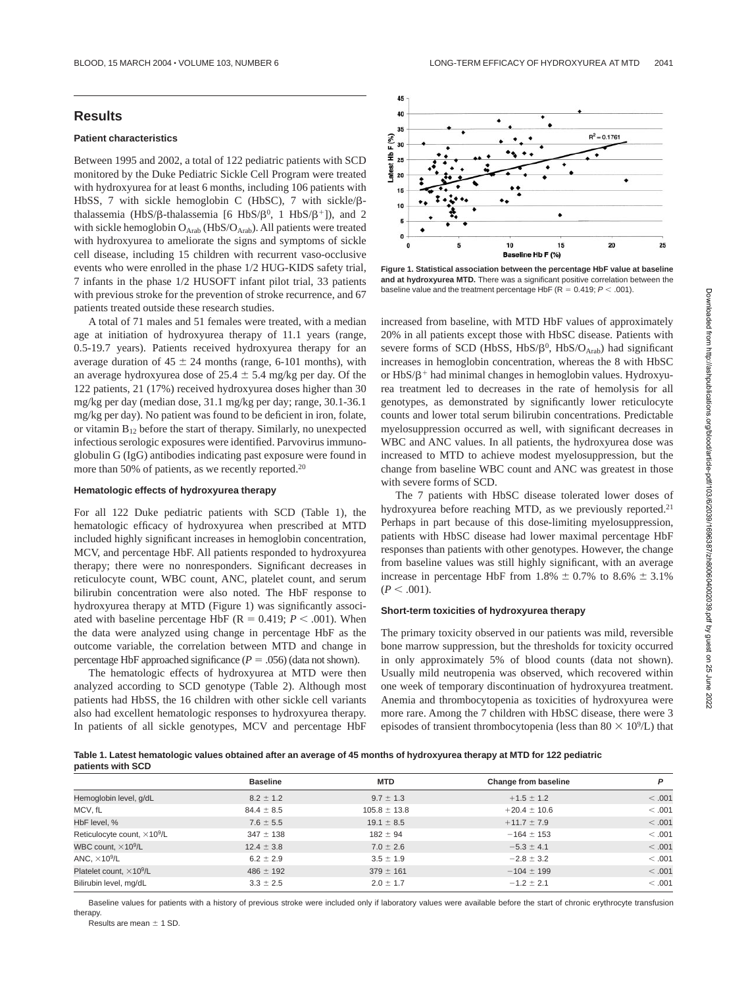# **Results**

# **Patient characteristics**

Between 1995 and 2002, a total of 122 pediatric patients with SCD monitored by the Duke Pediatric Sickle Cell Program were treated with hydroxyurea for at least 6 months, including 106 patients with HbSS, 7 with sickle hemoglobin C (HbSC), 7 with sickle/ßthalassemia (HbS/ $\beta$ -thalassemia [6 HbS/ $\beta$ <sup>0</sup>, 1 HbS/ $\beta$ <sup>+</sup>]), and 2 with sickle hemoglobin  $O_{Arab}$  (HbS/ $O_{Arab}$ ). All patients were treated with hydroxyurea to ameliorate the signs and symptoms of sickle cell disease, including 15 children with recurrent vaso-occlusive events who were enrolled in the phase 1/2 HUG-KIDS safety trial, 7 infants in the phase 1/2 HUSOFT infant pilot trial, 33 patients with previous stroke for the prevention of stroke recurrence, and 67 patients treated outside these research studies.

A total of 71 males and 51 females were treated, with a median age at initiation of hydroxyurea therapy of 11.1 years (range, 0.5-19.7 years). Patients received hydroxyurea therapy for an average duration of  $45 \pm 24$  months (range, 6-101 months), with an average hydroxyurea dose of  $25.4 \pm 5.4$  mg/kg per day. Of the 122 patients, 21 (17%) received hydroxyurea doses higher than 30 mg/kg per day (median dose, 31.1 mg/kg per day; range, 30.1-36.1 mg/kg per day). No patient was found to be deficient in iron, folate, or vitamin  $B_{12}$  before the start of therapy. Similarly, no unexpected infectious serologic exposures were identified. Parvovirus immunoglobulin G (IgG) antibodies indicating past exposure were found in more than 50% of patients, as we recently reported.<sup>20</sup>

### **Hematologic effects of hydroxyurea therapy**

For all 122 Duke pediatric patients with SCD (Table 1), the hematologic efficacy of hydroxyurea when prescribed at MTD included highly significant increases in hemoglobin concentration, MCV, and percentage HbF. All patients responded to hydroxyurea therapy; there were no nonresponders. Significant decreases in reticulocyte count, WBC count, ANC, platelet count, and serum bilirubin concentration were also noted. The HbF response to hydroxyurea therapy at MTD (Figure 1) was significantly associated with baseline percentage HbF ( $R = 0.419$ ;  $P < .001$ ). When the data were analyzed using change in percentage HbF as the outcome variable, the correlation between MTD and change in percentage HbF approached significance  $(P = .056)$  (data not shown).

The hematologic effects of hydroxyurea at MTD were then analyzed according to SCD genotype (Table 2). Although most patients had HbSS, the 16 children with other sickle cell variants also had excellent hematologic responses to hydroxyurea therapy. In patients of all sickle genotypes, MCV and percentage HbF



**Figure 1. Statistical association between the percentage HbF value at baseline and at hydroxyurea MTD.** There was a significant positive correlation between the baseline value and the treatment percentage HbF ( $R = 0.419$ ;  $P < .001$ ).

increased from baseline, with MTD HbF values of approximately 20% in all patients except those with HbSC disease. Patients with severe forms of SCD (HbSS, HbS/ $\beta^0$ , HbS/ $O_{Arab}$ ) had significant increases in hemoglobin concentration, whereas the 8 with HbSC or HbS/ $\beta$ <sup>+</sup> had minimal changes in hemoglobin values. Hydroxyurea treatment led to decreases in the rate of hemolysis for all genotypes, as demonstrated by significantly lower reticulocyte counts and lower total serum bilirubin concentrations. Predictable myelosuppression occurred as well, with significant decreases in WBC and ANC values. In all patients, the hydroxyurea dose was increased to MTD to achieve modest myelosuppression, but the change from baseline WBC count and ANC was greatest in those with severe forms of SCD.

The 7 patients with HbSC disease tolerated lower doses of hydroxyurea before reaching MTD, as we previously reported.<sup>21</sup> Perhaps in part because of this dose-limiting myelosuppression, patients with HbSC disease had lower maximal percentage HbF responses than patients with other genotypes. However, the change from baseline values was still highly significant, with an average increase in percentage HbF from 1.8%  $\pm$  0.7% to 8.6%  $\pm$  3.1%  $(P < .001)$ .

## **Short-term toxicities of hydroxyurea therapy**

The primary toxicity observed in our patients was mild, reversible bone marrow suppression, but the thresholds for toxicity occurred in only approximately 5% of blood counts (data not shown). Usually mild neutropenia was observed, which recovered within one week of temporary discontinuation of hydroxyurea treatment. Anemia and thrombocytopenia as toxicities of hydroxyurea were more rare. Among the 7 children with HbSC disease, there were 3 episodes of transient thrombocytopenia (less than  $80 \times 10^9$ /L) that

**Table 1. Latest hematologic values obtained after an average of 45 months of hydroxyurea therapy at MTD for 122 pediatric patients with SCD**

|                                             | <b>Baseline</b> | <b>MTD</b>       | Change from baseline | P       |
|---------------------------------------------|-----------------|------------------|----------------------|---------|
| Hemoglobin level, g/dL                      | $8.2 \pm 1.2$   | $9.7 \pm 1.3$    | $+1.5 \pm 1.2$       | < .001  |
| MCV, fL                                     | $84.4 \pm 8.5$  | $105.8 \pm 13.8$ | $+20.4 \pm 10.6$     | <.001   |
| HbF level, %                                | $7.6 \pm 5.5$   | $19.1 \pm 8.5$   | $+11.7 \pm 7.9$      | < .001  |
| Reticulocyte count, $\times 10^9$ /L        | $347 \pm 138$   | $182 \pm 94$     | $-164 \pm 153$       | <.001   |
| WBC count, $\times$ 10 <sup>9</sup> /L      | $12.4 \pm 3.8$  | $7.0 \pm 2.6$    | $-5.3 \pm 4.1$       | < .001  |
| ANC, $\times$ 10 <sup>9</sup> /L            | $6.2 \pm 2.9$   | $3.5 \pm 1.9$    | $-2.8 \pm 3.2$       | < .001  |
| Platelet count, $\times$ 10 <sup>9</sup> /L | $486 \pm 192$   | $379 \pm 161$    | $-104 \pm 199$       | < .001  |
| Bilirubin level, mg/dL                      | $3.3 \pm 2.5$   | $2.0 \pm 1.7$    | $-1.2 \pm 2.1$       | < 0.001 |

Baseline values for patients with a history of previous stroke were included only if laboratory values were available before the start of chronic erythrocyte transfusion therapy.

Results are mean  $\pm$  1 SD.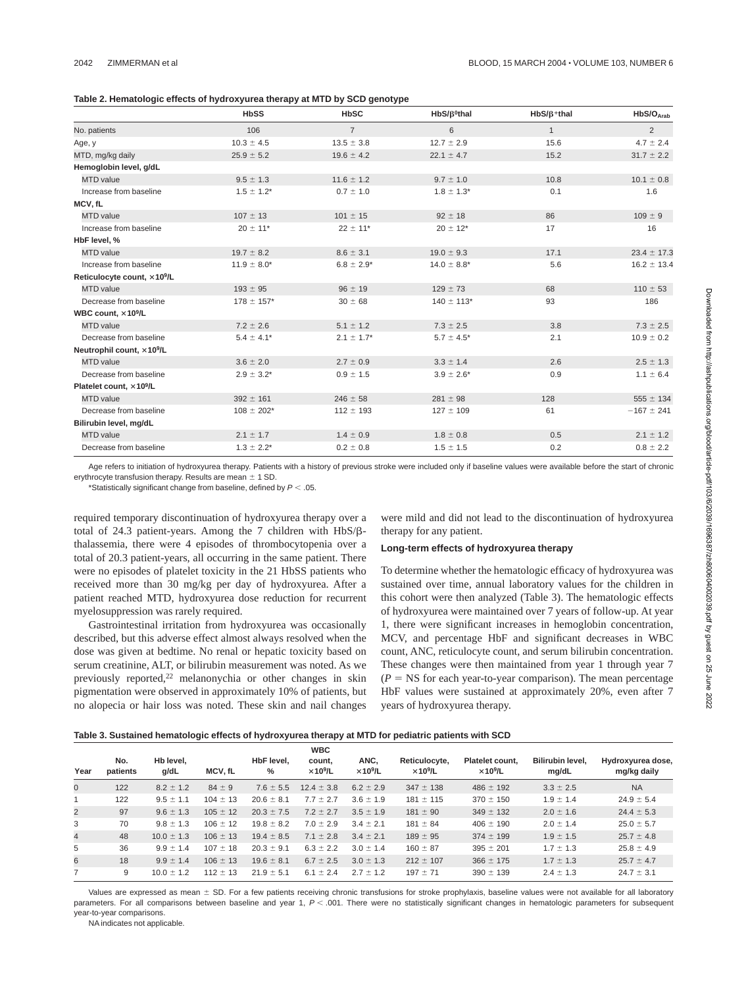| Table 2. Hematologic effects of hydroxyurea therapy at MTD by SCD genotype |  |
|----------------------------------------------------------------------------|--|
|----------------------------------------------------------------------------|--|

|                                         | <b>HbSS</b>      | <b>HbSC</b>     | $HbS/B0$ thal    | $HbS/B+thal$ | HbS/O <sub>Arab</sub> |
|-----------------------------------------|------------------|-----------------|------------------|--------------|-----------------------|
| No. patients                            | 106              | $\overline{7}$  | 6                | $\mathbf{1}$ | $\overline{2}$        |
| Age, y                                  | $10.3 \pm 4.5$   | $13.5 \pm 3.8$  | $12.7 \pm 2.9$   | 15.6         | $4.7 \pm 2.4$         |
| MTD, mg/kg daily                        | $25.9 \pm 5.2$   | $19.6 \pm 4.2$  | $22.1 \pm 4.7$   | 15.2         | $31.7 \pm 2.2$        |
| Hemoglobin level, g/dL                  |                  |                 |                  |              |                       |
| <b>MTD</b> value                        | $9.5 \pm 1.3$    | $11.6 \pm 1.2$  | $9.7 \pm 1.0$    | 10.8         | $10.1 \pm 0.8$        |
| Increase from baseline                  | $1.5 \pm 1.2^*$  | $0.7 \pm 1.0$   | $1.8 \pm 1.3^*$  | 0.1          | 1.6                   |
| MCV, fL                                 |                  |                 |                  |              |                       |
| MTD value                               | $107 \pm 13$     | $101 \pm 15$    | $92 \pm 18$      | 86           | $109 \pm 9$           |
| Increase from baseline                  | $20 \pm 11$ *    | $22 \pm 11$ *   | $20 \pm 12$ *    | 17           | 16                    |
| HbF level, %                            |                  |                 |                  |              |                       |
| <b>MTD</b> value                        | $19.7 \pm 8.2$   | $8.6 \pm 3.1$   | $19.0 \pm 9.3$   | 17.1         | $23.4 \pm 17.3$       |
| Increase from baseline                  | $11.9 \pm 8.0^*$ | $6.8 \pm 2.9*$  | $14.0 \pm 8.8^*$ | 5.6          | $16.2 \pm 13.4$       |
| Reticulocyte count, ×10 <sup>9</sup> /L |                  |                 |                  |              |                       |
| <b>MTD</b> value                        | $193 \pm 95$     | $96 \pm 19$     | $129 \pm 73$     | 68           | $110 \pm 53$          |
| Decrease from baseline                  | $178 \pm 157$ *  | $30 \pm 68$     | $140 \pm 113$ *  | 93           | 186                   |
| WBC count, ×10 <sup>9</sup> /L          |                  |                 |                  |              |                       |
| <b>MTD</b> value                        | $7.2 \pm 2.6$    | $5.1 \pm 1.2$   | $7.3 \pm 2.5$    | 3.8          | $7.3 \pm 2.5$         |
| Decrease from baseline                  | $5.4 \pm 4.1*$   | $2.1 \pm 1.7^*$ | $5.7 \pm 4.5^*$  | 2.1          | $10.9 \pm 0.2$        |
| Neutrophil count, ×10 <sup>9</sup> /L   |                  |                 |                  |              |                       |
| <b>MTD</b> value                        | $3.6 \pm 2.0$    | $2.7 \pm 0.9$   | $3.3 \pm 1.4$    | 2.6          | $2.5 \pm 1.3$         |
| Decrease from baseline                  | $2.9 \pm 3.2^*$  | $0.9 \pm 1.5$   | $3.9 \pm 2.6^*$  | 0.9          | $1.1 \pm 6.4$         |
| Platelet count, ×10 <sup>9</sup> /L     |                  |                 |                  |              |                       |
| <b>MTD</b> value                        | $392 \pm 161$    | $246 \pm 58$    | $281 \pm 98$     | 128          | $555 \pm 134$         |
| Decrease from baseline                  | $108 \pm 202*$   | $112 \pm 193$   | $127 \pm 109$    | 61           | $-167 \pm 241$        |
| Bilirubin level, mg/dL                  |                  |                 |                  |              |                       |
| <b>MTD</b> value                        | $2.1 \pm 1.7$    | $1.4 \pm 0.9$   | $1.8 \pm 0.8$    | 0.5          | $2.1 \pm 1.2$         |
| Decrease from baseline                  | $1.3 \pm 2.2^*$  | $0.2 \pm 0.8$   | $1.5 \pm 1.5$    | 0.2          | $0.8 \pm 2.2$         |

Age refers to initiation of hydroxyurea therapy. Patients with a history of previous stroke were included only if baseline values were available before the start of chronic erythrocyte transfusion therapy. Results are mean  $\pm$  1 SD.

\*Statistically significant change from baseline, defined by  $P < .05$ .

required temporary discontinuation of hydroxyurea therapy over a total of 24.3 patient-years. Among the 7 children with  $HbS/B$ thalassemia, there were 4 episodes of thrombocytopenia over a total of 20.3 patient-years, all occurring in the same patient. There were no episodes of platelet toxicity in the 21 HbSS patients who received more than 30 mg/kg per day of hydroxyurea. After a patient reached MTD, hydroxyurea dose reduction for recurrent myelosuppression was rarely required.

Gastrointestinal irritation from hydroxyurea was occasionally described, but this adverse effect almost always resolved when the dose was given at bedtime. No renal or hepatic toxicity based on serum creatinine, ALT, or bilirubin measurement was noted. As we previously reported, $22$  melanonychia or other changes in skin pigmentation were observed in approximately 10% of patients, but no alopecia or hair loss was noted. These skin and nail changes

were mild and did not lead to the discontinuation of hydroxyurea therapy for any patient.

### **Long-term effects of hydroxyurea therapy**

To determine whether the hematologic efficacy of hydroxyurea was sustained over time, annual laboratory values for the children in this cohort were then analyzed (Table 3). The hematologic effects of hydroxyurea were maintained over 7 years of follow-up. At year 1, there were significant increases in hemoglobin concentration, MCV, and percentage HbF and significant decreases in WBC count, ANC, reticulocyte count, and serum bilirubin concentration. These changes were then maintained from year 1 through year 7  $(P = NS$  for each year-to-year comparison). The mean percentage HbF values were sustained at approximately 20%, even after 7 years of hydroxyurea therapy.

| Table 3. Sustained hematologic effects of hydroxyurea therapy at MTD for pediatric patients with SCD |  |  |  |  |  |
|------------------------------------------------------------------------------------------------------|--|--|--|--|--|
|------------------------------------------------------------------------------------------------------|--|--|--|--|--|

|                | No.      | Hb level.      |              | HbF level.     | <b>WBC</b><br>count,        | ANC.                        | Reticulocyte,               | Platelet count.             | <b>Bilirubin level.</b> | Hydroxyurea dose, |
|----------------|----------|----------------|--------------|----------------|-----------------------------|-----------------------------|-----------------------------|-----------------------------|-------------------------|-------------------|
| Year           | patients | g/dL           | MCV, fL      | %              | $\times$ 10 <sup>9</sup> /L | $\times$ 10 <sup>9</sup> /L | $\times$ 10 <sup>9</sup> /L | $\times$ 10 <sup>9</sup> /L | mg/dL                   | mg/kg daily       |
| $\mathbf{0}$   | 122      | $8.2 \pm 1.2$  | $84 \pm 9$   | $7.6 \pm 5.5$  | $12.4 \pm 3.8$              | $6.2 \pm 2.9$               | $347 \pm 138$               | $486 \pm 192$               | $3.3 \pm 2.5$           | <b>NA</b>         |
|                | 122      | $9.5 \pm 1.1$  | $104 \pm 13$ | $20.6 \pm 8.1$ | $7.7 \pm 2.7$               | $3.6 \pm 1.9$               | $181 \pm 115$               | $370 \pm 150$               | $1.9 \pm 1.4$           | $24.9 \pm 5.4$    |
| $\overline{2}$ | 97       | $9.6 \pm 1.3$  | $105 \pm 12$ | $20.3 \pm 7.5$ | $7.2 \pm 2.7$               | $3.5 \pm 1.9$               | $181 \pm 90$                | $349 \pm 132$               | $2.0 \pm 1.6$           | $24.4 \pm 5.3$    |
| 3              | 70       | $9.8 \pm 1.3$  | $106 \pm 12$ | $19.8 \pm 8.2$ | $7.0 \pm 2.9$               | $3.4 \pm 2.1$               | $181 \pm 84$                | $406 \pm 190$               | $2.0 \pm 1.4$           | $25.0 \pm 5.7$    |
| $\overline{4}$ | 48       | $10.0 \pm 1.3$ | $106 \pm 13$ | $19.4 \pm 8.5$ | $7.1 \pm 2.8$               | $3.4 \pm 2.1$               | $189 \pm 95$                | $374 \pm 199$               | $1.9 \pm 1.5$           | $25.7 \pm 4.8$    |
| 5              | 36       | $9.9 \pm 1.4$  | $107 \pm 18$ | $20.3 \pm 9.1$ | $6.3 \pm 2.2$               | $3.0 \pm 1.4$               | $160 \pm 87$                | $395 \pm 201$               | $1.7 \pm 1.3$           | $25.8 \pm 4.9$    |
| 6              | 18       | $9.9 \pm 1.4$  | $106 \pm 13$ | $19.6 \pm 8.1$ | $6.7 \pm 2.5$               | $3.0 \pm 1.3$               | $212 \pm 107$               | $366 \pm 175$               | $1.7 \pm 1.3$           | $25.7 \pm 4.7$    |
| 7              | 9        | $10.0 \pm 1.2$ | $112 \pm 13$ | $21.9 \pm 5.1$ | $6.1 \pm 2.4$               | $2.7 \pm 1.2$               | $197 \pm 71$                | $390 \pm 139$               | $2.4 \pm 1.3$           | $24.7 \pm 3.1$    |

Values are expressed as mean ± SD. For a few patients receiving chronic transfusions for stroke prophylaxis, baseline values were not available for all laboratory parameters. For all comparisons between baseline and year 1,  $P < .001$ . There were no statistically significant changes in hematologic parameters for subsequent year-to-year comparisons.

NA indicates not applicable.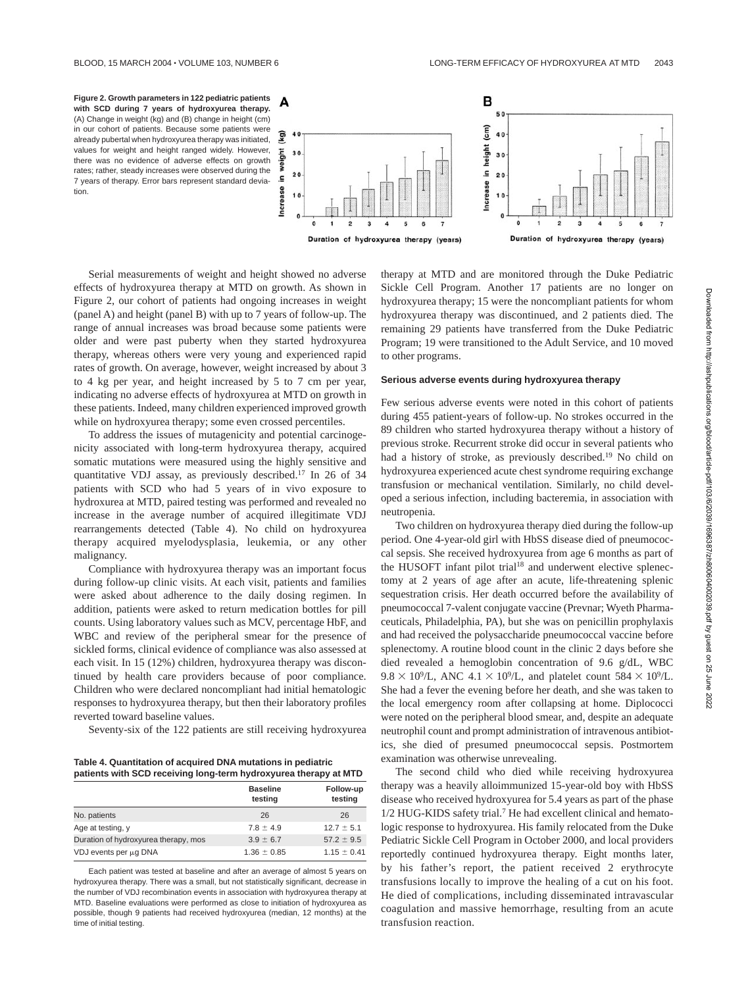

Serial measurements of weight and height showed no adverse effects of hydroxyurea therapy at MTD on growth. As shown in Figure 2, our cohort of patients had ongoing increases in weight (panel A) and height (panel B) with up to 7 years of follow-up. The range of annual increases was broad because some patients were older and were past puberty when they started hydroxyurea therapy, whereas others were very young and experienced rapid rates of growth. On average, however, weight increased by about 3 to 4 kg per year, and height increased by 5 to 7 cm per year, indicating no adverse effects of hydroxyurea at MTD on growth in these patients. Indeed, many children experienced improved growth while on hydroxyurea therapy; some even crossed percentiles.

To address the issues of mutagenicity and potential carcinogenicity associated with long-term hydroxyurea therapy, acquired somatic mutations were measured using the highly sensitive and quantitative VDJ assay, as previously described.17 In 26 of 34 patients with SCD who had 5 years of in vivo exposure to hydroxurea at MTD, paired testing was performed and revealed no increase in the average number of acquired illegitimate VDJ rearrangements detected (Table 4). No child on hydroxyurea therapy acquired myelodysplasia, leukemia, or any other malignancy.

Compliance with hydroxyurea therapy was an important focus during follow-up clinic visits. At each visit, patients and families were asked about adherence to the daily dosing regimen. In addition, patients were asked to return medication bottles for pill counts. Using laboratory values such as MCV, percentage HbF, and WBC and review of the peripheral smear for the presence of sickled forms, clinical evidence of compliance was also assessed at each visit. In 15 (12%) children, hydroxyurea therapy was discontinued by health care providers because of poor compliance. Children who were declared noncompliant had initial hematologic responses to hydroxyurea therapy, but then their laboratory profiles reverted toward baseline values.

Seventy-six of the 122 patients are still receiving hydroxyurea

**Table 4. Quantitation of acquired DNA mutations in pediatric patients with SCD receiving long-term hydroxyurea therapy at MTD**

| -                                    |                            |                      |
|--------------------------------------|----------------------------|----------------------|
|                                      | <b>Baseline</b><br>testing | Follow-up<br>testing |
| No. patients                         | 26                         | 26                   |
| Age at testing, y                    | $7.8 \pm 4.9$              | $12.7 \pm 5.1$       |
| Duration of hydroxyurea therapy, mos | $3.9 \pm 6.7$              | $57.2 \pm 9.5$       |
| VDJ events per µq DNA                | $1.36 \pm 0.85$            | $1.15 \pm 0.41$      |

Each patient was tested at baseline and after an average of almost 5 years on hydroxyurea therapy. There was a small, but not statistically significant, decrease in the number of VDJ recombination events in association with hydroxyurea therapy at MTD. Baseline evaluations were performed as close to initiation of hydroxyurea as possible, though 9 patients had received hydroxyurea (median, 12 months) at the time of initial testing.

therapy at MTD and are monitored through the Duke Pediatric Sickle Cell Program. Another 17 patients are no longer on hydroxyurea therapy; 15 were the noncompliant patients for whom hydroxyurea therapy was discontinued, and 2 patients died. The remaining 29 patients have transferred from the Duke Pediatric Program; 19 were transitioned to the Adult Service, and 10 moved to other programs.

### **Serious adverse events during hydroxyurea therapy**

Few serious adverse events were noted in this cohort of patients during 455 patient-years of follow-up. No strokes occurred in the 89 children who started hydroxyurea therapy without a history of previous stroke. Recurrent stroke did occur in several patients who had a history of stroke, as previously described.<sup>19</sup> No child on hydroxyurea experienced acute chest syndrome requiring exchange transfusion or mechanical ventilation. Similarly, no child developed a serious infection, including bacteremia, in association with neutropenia.

Two children on hydroxyurea therapy died during the follow-up period. One 4-year-old girl with HbSS disease died of pneumococcal sepsis. She received hydroxyurea from age 6 months as part of the HUSOFT infant pilot trial<sup>18</sup> and underwent elective splenectomy at 2 years of age after an acute, life-threatening splenic sequestration crisis. Her death occurred before the availability of pneumococcal 7-valent conjugate vaccine (Prevnar; Wyeth Pharmaceuticals, Philadelphia, PA), but she was on penicillin prophylaxis and had received the polysaccharide pneumococcal vaccine before splenectomy. A routine blood count in the clinic 2 days before she died revealed a hemoglobin concentration of 9.6 g/dL, WBC  $9.8 \times 10^9$ /L, ANC  $4.1 \times 10^9$ /L, and platelet count  $584 \times 10^9$ /L. She had a fever the evening before her death, and she was taken to the local emergency room after collapsing at home. Diplococci were noted on the peripheral blood smear, and, despite an adequate neutrophil count and prompt administration of intravenous antibiotics, she died of presumed pneumococcal sepsis. Postmortem examination was otherwise unrevealing.

The second child who died while receiving hydroxyurea therapy was a heavily alloimmunized 15-year-old boy with HbSS disease who received hydroxyurea for 5.4 years as part of the phase 1/2 HUG-KIDS safety trial.7 He had excellent clinical and hematologic response to hydroxyurea. His family relocated from the Duke Pediatric Sickle Cell Program in October 2000, and local providers reportedly continued hydroxyurea therapy. Eight months later, by his father's report, the patient received 2 erythrocyte transfusions locally to improve the healing of a cut on his foot. He died of complications, including disseminated intravascular coagulation and massive hemorrhage, resulting from an acute transfusion reaction.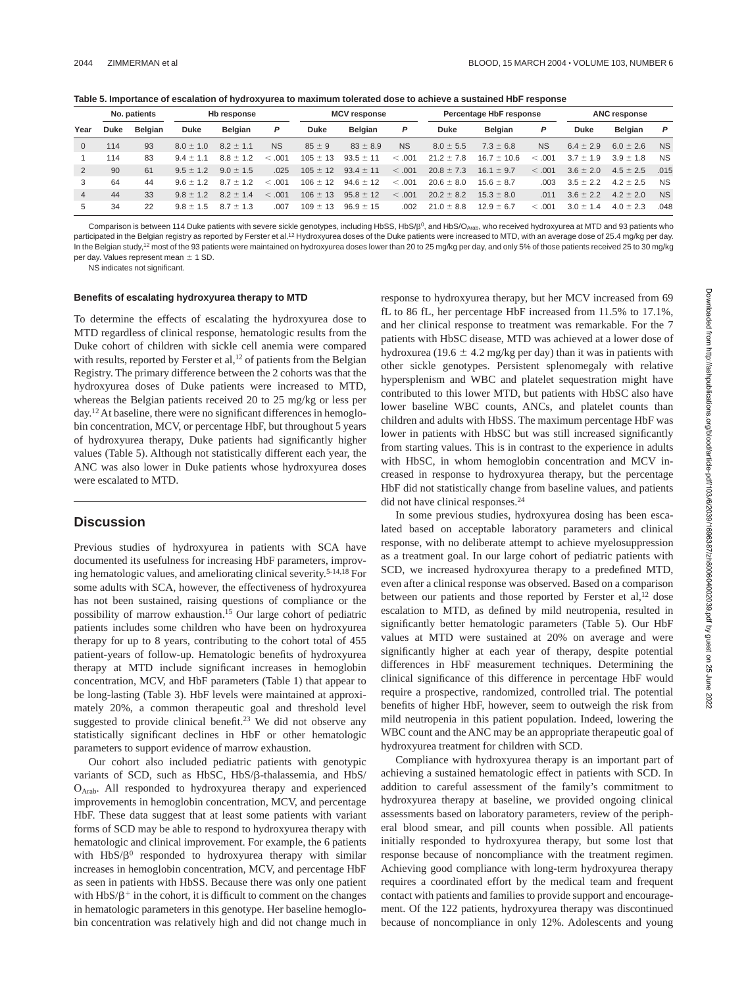|  |  | Table 5. Importance of escalation of hydroxyurea to maximum tolerated dose to achieve a sustained HbF response |  |
|--|--|----------------------------------------------------------------------------------------------------------------|--|
|  |  |                                                                                                                |  |

|              | No. patients<br>Hb response |                |               | <b>MCV</b> response |           | Percentage HbF response |                |           | <b>ANC response</b> |                 |           |               |               |           |
|--------------|-----------------------------|----------------|---------------|---------------------|-----------|-------------------------|----------------|-----------|---------------------|-----------------|-----------|---------------|---------------|-----------|
| Year         | <b>Duke</b>                 | <b>Belgian</b> | <b>Duke</b>   | Belgian             | Р         | Duke                    | <b>Belgian</b> | P         | Duke                | <b>Belgian</b>  | P         | <b>Duke</b>   | Belgian       | P         |
| $\mathbf{0}$ | 114                         | 93             | $8.0 \pm 1.0$ | $8.2 \pm 1.1$       | <b>NS</b> | $85 \pm 9$              | $83 \pm 8.9$   | <b>NS</b> | $8.0 \pm 5.5$       | $7.3 \pm 6.8$   | <b>NS</b> | $6.4 \pm 2.9$ | $6.0 \pm 2.6$ | <b>NS</b> |
|              | 114                         | 83             | $9.4 \pm 1.1$ | $8.8 \pm 1.2$       | .001      | $105 \pm 13$            | $93.5 \pm 11$  | < .001    | $21.2 \pm 7.8$      | $16.7 \pm 10.6$ | < 0.001   | $3.7 \pm 1.9$ | $3.9 \pm 1.8$ | <b>NS</b> |
| 2            | 90                          | 61             | $9.5 \pm 1.2$ | $9.0 \pm 1.5$       | .025      | $105 \pm 12$            | $93.4 \pm 11$  | < .001    | $20.8 \pm 7.3$      | $16.1 \pm 9.7$  | < .001    | $3.6 \pm 2.0$ | $4.5 \pm 2.5$ | .015      |
| 3            | 64                          | 44             | $9.6 \pm 1.2$ | $8.7 \pm 1.2$       | .001      | $106 \pm 12$            | $94.6 \pm 12$  | < .001    | $20.6 \pm 8.0$      | $15.6 \pm 8.7$  | .003      | $3.5 \pm 2.2$ | $4.2 \pm 2.5$ | <b>NS</b> |
| 4            | 44                          | 33             | $9.8 \pm 1.2$ | $8.2 \pm 1.4$       | .001      | $106 \pm 13$            | $95.8 \pm 12$  | < 0.001   | $20.2 \pm 8.2$      | $15.3 \pm 8.0$  | .011      | $3.6 \pm 2.2$ | $4.2 \pm 2.0$ | <b>NS</b> |
| 5            | 34                          | 22             | $9.8 \pm 1.5$ | $87 + 13$           | .007      | $109 \pm 13$            | $96.9 \pm 15$  | .002      | $21.0 \pm 8.8$      | $12.9 \pm 6.7$  | <.001     | $3.0 \pm 1.4$ | $4.0 \pm 2.3$ | .048      |

Comparison is between 114 Duke patients with severe sickle genotypes, including HbSS, HbS/ $\beta$ <sup>0</sup>, and HbS/O<sub>Arab</sub>, who received hydroxyurea at MTD and 93 patients who participated in the Belgian registry as reported by Ferster et al.<sup>12</sup> Hydroxyurea doses of the Duke patients were increased to MTD, with an average dose of 25.4 mg/kg per day. In the Belgian study,<sup>12</sup> most of the 93 patients were maintained on hydroxyurea doses lower than 20 to 25 mg/kg per day, and only 5% of those patients received 25 to 30 mg/kg per day. Values represent mean  $\pm$  1 SD.

NS indicates not significant.

### **Benefits of escalating hydroxyurea therapy to MTD**

To determine the effects of escalating the hydroxyurea dose to MTD regardless of clinical response, hematologic results from the Duke cohort of children with sickle cell anemia were compared with results, reported by Ferster et al,<sup>12</sup> of patients from the Belgian Registry. The primary difference between the 2 cohorts was that the hydroxyurea doses of Duke patients were increased to MTD, whereas the Belgian patients received 20 to 25 mg/kg or less per day.<sup>12</sup> At baseline, there were no significant differences in hemoglobin concentration, MCV, or percentage HbF, but throughout 5 years of hydroxyurea therapy, Duke patients had significantly higher values (Table 5). Although not statistically different each year, the ANC was also lower in Duke patients whose hydroxyurea doses were escalated to MTD.

### **Discussion**

Previous studies of hydroxyurea in patients with SCA have documented its usefulness for increasing HbF parameters, improving hematologic values, and ameliorating clinical severity.5-14,18 For some adults with SCA, however, the effectiveness of hydroxyurea has not been sustained, raising questions of compliance or the possibility of marrow exhaustion.15 Our large cohort of pediatric patients includes some children who have been on hydroxyurea therapy for up to 8 years, contributing to the cohort total of 455 patient-years of follow-up. Hematologic benefits of hydroxyurea therapy at MTD include significant increases in hemoglobin concentration, MCV, and HbF parameters (Table 1) that appear to be long-lasting (Table 3). HbF levels were maintained at approximately 20%, a common therapeutic goal and threshold level suggested to provide clinical benefit.<sup>23</sup> We did not observe any statistically significant declines in HbF or other hematologic parameters to support evidence of marrow exhaustion.

Our cohort also included pediatric patients with genotypic variants of SCD, such as HbSC, HbS/ $\beta$ -thalassemia, and HbS/ OArab. All responded to hydroxyurea therapy and experienced improvements in hemoglobin concentration, MCV, and percentage HbF. These data suggest that at least some patients with variant forms of SCD may be able to respond to hydroxyurea therapy with hematologic and clinical improvement. For example, the 6 patients with  $HbS/B<sup>0</sup>$  responded to hydroxyurea therapy with similar increases in hemoglobin concentration, MCV, and percentage HbF as seen in patients with HbSS. Because there was only one patient with  $HbS/\beta^+$  in the cohort, it is difficult to comment on the changes in hematologic parameters in this genotype. Her baseline hemoglobin concentration was relatively high and did not change much in response to hydroxyurea therapy, but her MCV increased from 69 fL to 86 fL, her percentage HbF increased from 11.5% to 17.1%, and her clinical response to treatment was remarkable. For the 7 patients with HbSC disease, MTD was achieved at a lower dose of hydroxurea (19.6  $\pm$  4.2 mg/kg per day) than it was in patients with other sickle genotypes. Persistent splenomegaly with relative hypersplenism and WBC and platelet sequestration might have contributed to this lower MTD, but patients with HbSC also have lower baseline WBC counts, ANCs, and platelet counts than children and adults with HbSS. The maximum percentage HbF was lower in patients with HbSC but was still increased significantly from starting values. This is in contrast to the experience in adults with HbSC, in whom hemoglobin concentration and MCV increased in response to hydroxyurea therapy, but the percentage HbF did not statistically change from baseline values, and patients did not have clinical responses.<sup>24</sup>

In some previous studies, hydroxyurea dosing has been escalated based on acceptable laboratory parameters and clinical response, with no deliberate attempt to achieve myelosuppression as a treatment goal. In our large cohort of pediatric patients with SCD, we increased hydroxyurea therapy to a predefined MTD, even after a clinical response was observed. Based on a comparison between our patients and those reported by Ferster et al,<sup>12</sup> dose escalation to MTD, as defined by mild neutropenia, resulted in significantly better hematologic parameters (Table 5). Our HbF values at MTD were sustained at 20% on average and were significantly higher at each year of therapy, despite potential differences in HbF measurement techniques. Determining the clinical significance of this difference in percentage HbF would require a prospective, randomized, controlled trial. The potential benefits of higher HbF, however, seem to outweigh the risk from mild neutropenia in this patient population. Indeed, lowering the WBC count and the ANC may be an appropriate therapeutic goal of hydroxyurea treatment for children with SCD.

Compliance with hydroxyurea therapy is an important part of achieving a sustained hematologic effect in patients with SCD. In addition to careful assessment of the family's commitment to hydroxyurea therapy at baseline, we provided ongoing clinical assessments based on laboratory parameters, review of the peripheral blood smear, and pill counts when possible. All patients initially responded to hydroxyurea therapy, but some lost that response because of noncompliance with the treatment regimen. Achieving good compliance with long-term hydroxyurea therapy requires a coordinated effort by the medical team and frequent contact with patients and families to provide support and encouragement. Of the 122 patients, hydroxyurea therapy was discontinued because of noncompliance in only 12%. Adolescents and young